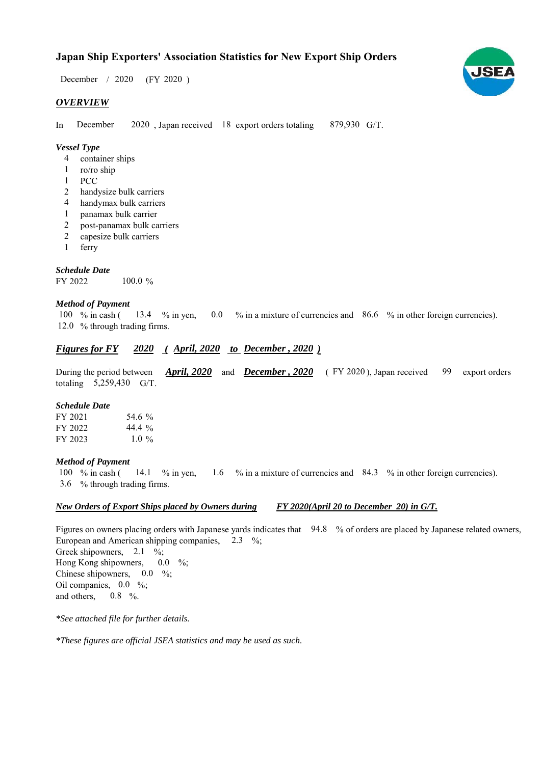# **Japan Ship Exporters' Association Statistics for New Export Ship Orders**

 $/ 2020$  (FY 2020) December / 2020

## *OVERVIEW*

In December 2020, Japan received 18 export orders totaling 879,930 G/T. December

### *Vessel Type*

- container ships 4
- ro/ro ship 1
- PCC 1
- handysize bulk carriers 2
- handymax bulk carriers 4
- panamax bulk carrier 1
- post-panamax bulk carriers 2
- capesize bulk carriers  $\overline{2}$
- ferry 1

#### *Schedule Date*

FY 2022 100.0 %

### *Method of Payment*

% in cash ( $\frac{13.4}{8}$  % in yen, 0.0 % in a mixture of currencies and 86.6 % in other foreign currencies). 12.0 % through trading firms. 100  $%$  in cash (

### *<u>Figures for FY 2020 (April, 2020 to December, 2020)</u>*

During the period between *April, 2020* and *December, 2020* (FY 2020), Japan received 99 export orders totaling  $5,259,430$  G/T. 99

#### *Schedule Date*

| FY 2021 | 54.6 %    |
|---------|-----------|
| FY 2022 | 44.4 $\%$ |
| FY 2023 | 1.0 $\%$  |

#### *Method of Payment*

% in cash ( $\frac{14.1}{8}$  % in yen,  $\frac{1.6}{8}$  % in a mixture of currencies and  $\frac{84.3}{8}$  % in other foreign currencies). % through trading firms. 3.6 100  $%$  in cash ( 14.1 % in yen,

#### *New Orders of Export Ships placed by Owners during FY 2020(April 20 to December 20) in G/T.*

Figures on owners placing orders with Japanese yards indicates that 94.8 % of orders are placed by Japanese related owners, European and American shipping companies,  $2.3\%$ ; Greek shipowners,  $2.1 \%$ ; Hong Kong shipowners, Chinese shipowners,  $0.0\%$ ; Oil companies,  $0.0\%$ ; and others,  $0.0\%$  $0.8\,%$ 

*\*See attached file for further details.*

*\*These figures are official JSEA statistics and may be used as such.*

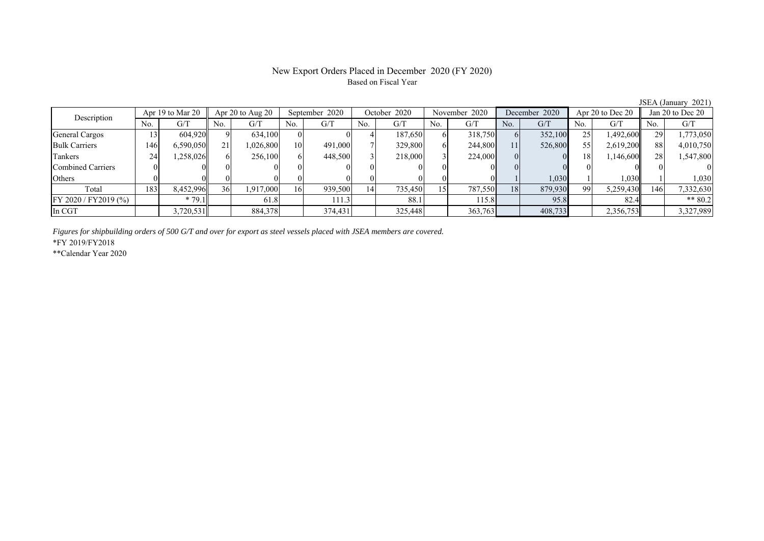# Based on Fiscal Year

No. G/T No. G/T No. G/T No. G/T No. G/T No. G/T No. G/T No. G/T General Cargos ( 13 604,920 9 634,100 0 0 4 187,650 6 318,750 6 352,100 25 1,492,600 29 1,773,050 Bulk Carriers | 146 6,590,050 21 1,026,800 10 491,000 7 329,800 6 244,800 11 526,800 55 2,619,200 88 4,010,750 Tankers | 24 | 1,258,026 || 6 | 248,500 | 3 | 218,000 | 3 | 224,000 | 0 | 0 | 18 | 1,146,600 || 28 | 1,547,800 Combined Carriers 0 0 0 0 0 0 0 0 0 0 0 0 0 0 0 0 Others ( 0 0 0 0 0 0 0 0 0 0 0 0 0 1 1,030 1 1,030 1 Total 183 8,452,996 36 1,917,000 16 939,500 14 735,450 15 787,550 18 879,930 99 5,259,430 146 7,332,630 FY 2020 / FY2019 (%) \* 79.1 61.8 111.3 88.1 115.8 95.8 82.4 \*\* 80.2 In CGT 3,720,531 884,378 374,431 325,448 363,763 408,733 2,356,753 3,327,989 Apr 20 to Aug 20 September 2020 October 2020 Description Apr 19 to Mar 20 November 2020 December 2020 Apr 20 to Dec 20 Jan 20 to Dec 20

*Figures for shipbuilding orders of 500 G/T and over for export as steel vessels placed with JSEA members are covered.*

\*FY 2019/FY2018

\*\*Calendar Year 2020

JSEA (January 2021)

# New Export Orders Placed in December 2020 (FY 2020)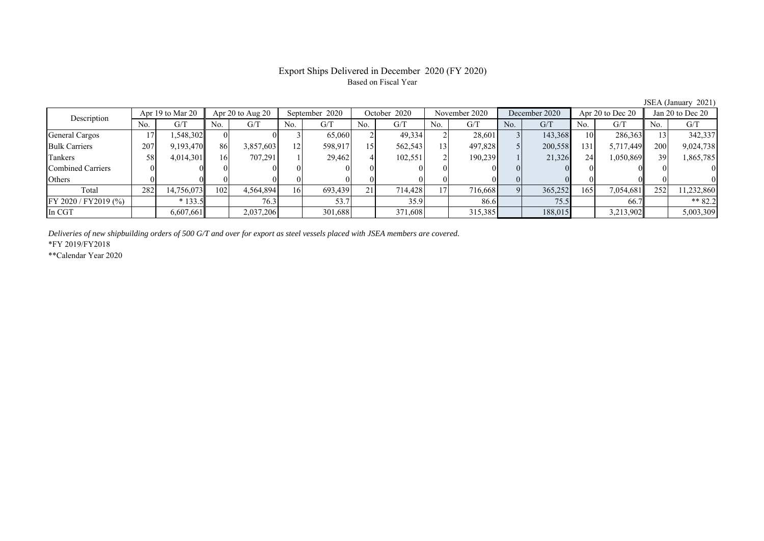### Export Ships Delivered in December 2020 (FY 2020) Based on Fiscal Year

No. G/T No. G/T No. G/T No. G/T No. G/T No. G/T No. G/T No. G/T General Cargos ( 17 | 1,548,302 | 0 0 0 3 | 65,060 2 49,334 2 28,601 3 143,368 10 286,363 13 342,337 Bulk Carriers 207 9,193,470 86 3,857,603 12 598,917 15 562,543 13 497,828 5 200,558 131 5,717,449 200 9,024,738 Tankers | 58| 4,014,301|| 16| 707,291| 1| 29,462| 4| 102,551| 2| 190,239| 1| 21,326| 24| 1,050,869|| 39| 1,865,785 Combined Carriers 0 0 0 0 0 0 0 0 0 0 0 0 0 0 0 0 Others 0 0 0 0 0 0 0 0 0 0 0 0 0 0 0 0 Total 282 14,756,073 102 4,564,894 16 693,439 21 714,428 17 716,668 9 365,252 165 7,054,681 252 11,232,860 FY 2020 / FY2019 (%) \* 133.5 76.3 53.7 35.9 86.6 75.5 66.7 \*\* 82.2 In CGT | | 6,607,661| | 2,037,206| | 301,688| | 371,608| | 315,385| | 188,015| | 3,213,902|| | 5,003,309 Description Apr 19 to Mar 20 Apr 20 to Aug 20 September 2020 October 2020<br>No. 6/T No. 6/T No. 6/T No. 6/T November 2020 December 2020 Apr 20 to Dec 20 Jan 20 to Dec 20

*Deliveries of new shipbuilding orders of 500 G/T and over for export as steel vessels placed with JSEA members are covered.*

\*FY 2019/FY2018

\*\*Calendar Year 2020

JSEA (January 2021)